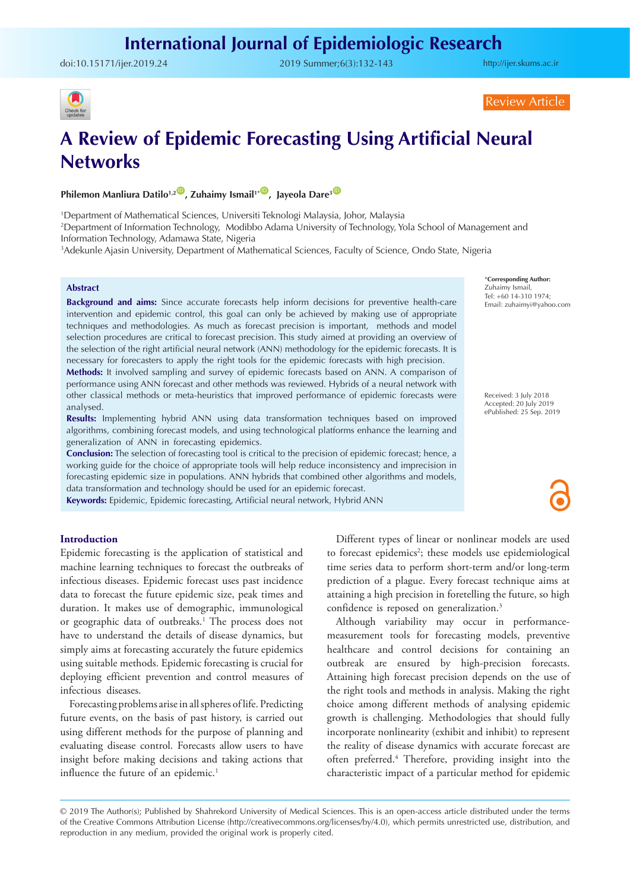# **International Journal of Epidemiologic Research**

doi:10.15171/ijer.2019.24 2019 Summer;6(3):132-143

<http://ijer.skums.ac.ir>



Review Article

# **A Review of Epidemic Forecasting Using Artificial Neural Networks**

**Philemon Manliura Datilo<sup>1,2</sup><sup>(0</sup>), Zuhaimy Ismail<sup>1+</sup><sup>(0</sup>), Jayeola Dare<sup>3</sup><sup>(0</sup>)** 

1 Department of Mathematical Sciences, Universiti Teknologi Malaysia, Johor, Malaysia 2 Department of Information Technology, Modibbo Adama University of Technology, Yola School of Management and Information Technology, Adamawa State, Nigeria

3 Adekunle Ajasin University, Department of Mathematical Sciences, Faculty of Science, Ondo State, Nigeria

#### **Abstract**

**Background and aims:** Since accurate forecasts help inform decisions for preventive health-care intervention and epidemic control, this goal can only be achieved by making use of appropriate techniques and methodologies. As much as forecast precision is important, methods and model selection procedures are critical to forecast precision. This study aimed at providing an overview of the selection of the right artificial neural network (ANN) methodology for the epidemic forecasts. It is necessary for forecasters to apply the right tools for the epidemic forecasts with high precision.

**Methods:** It involved sampling and survey of epidemic forecasts based on ANN. A comparison of performance using ANN forecast and other methods was reviewed. Hybrids of a neural network with other classical methods or meta-heuristics that improved performance of epidemic forecasts were analysed.

**Results:** Implementing hybrid ANN using data transformation techniques based on improved algorithms, combining forecast models, and using technological platforms enhance the learning and generalization of ANN in forecasting epidemics.

**Conclusion:** The selection of forecasting tool is critical to the precision of epidemic forecast; hence, a working guide for the choice of appropriate tools will help reduce inconsistency and imprecision in forecasting epidemic size in populations. ANN hybrids that combined other algorithms and models, data transformation and technology should be used for an epidemic forecast.

**Keywords:** Epidemic, Epidemic forecasting, Artificial neural network, Hybrid ANN

### **Introduction**

Epidemic forecasting is the application of statistical and machine learning techniques to forecast the outbreaks of infectious diseases. Epidemic forecast uses past incidence data to forecast the future epidemic size, peak times and duration. It makes use of demographic, immunological or geographic data of outbreaks.<sup>1</sup> The process does not have to understand the details of disease dynamics, but simply aims at forecasting accurately the future epidemics using suitable methods. Epidemic forecasting is crucial for deploying efficient prevention and control measures of infectious diseases.

Forecasting problems arise in all spheres of life. Predicting future events, on the basis of past history, is carried out using different methods for the purpose of planning and evaluating disease control. Forecasts allow users to have insight before making decisions and taking actions that influence the future of an epidemic.<sup>1</sup>

Different types of linear or nonlinear models are used to forecast epidemics<sup>2</sup>; these models use epidemiological time series data to perform short-term and/or long-term prediction of a plague. Every forecast technique aims at attaining a high precision in foretelling the future, so high confidence is reposed on generalization.<sup>3</sup>

Although variability may occur in performancemeasurement tools for forecasting models, preventive healthcare and control decisions for containing an outbreak are ensured by high-precision forecasts. Attaining high forecast precision depends on the use of the right tools and methods in analysis. Making the right choice among different methods of analysing epidemic growth is challenging. Methodologies that should fully incorporate nonlinearity (exhibit and inhibit) to represent the reality of disease dynamics with accurate forecast are often preferred.<sup>4</sup> Therefore, providing insight into the characteristic impact of a particular method for epidemic

© 2019 The Author(s); Published by Shahrekord University of Medical Sciences. This is an open-access article distributed under the terms of the Creative Commons Attribution License (http://creativecommons.org/licenses/by/4.0), which permits unrestricted use, distribution, and reproduction in any medium, provided the original work is properly cited.

\***Corresponding Author:** Zuhaimy Ismail, Tel: +60 14-310 1974; Email: zuhaimyi@yahoo.com

Received: 3 July 2018 Accepted: 20 July 2019 ePublished: 25 Sep. 2019

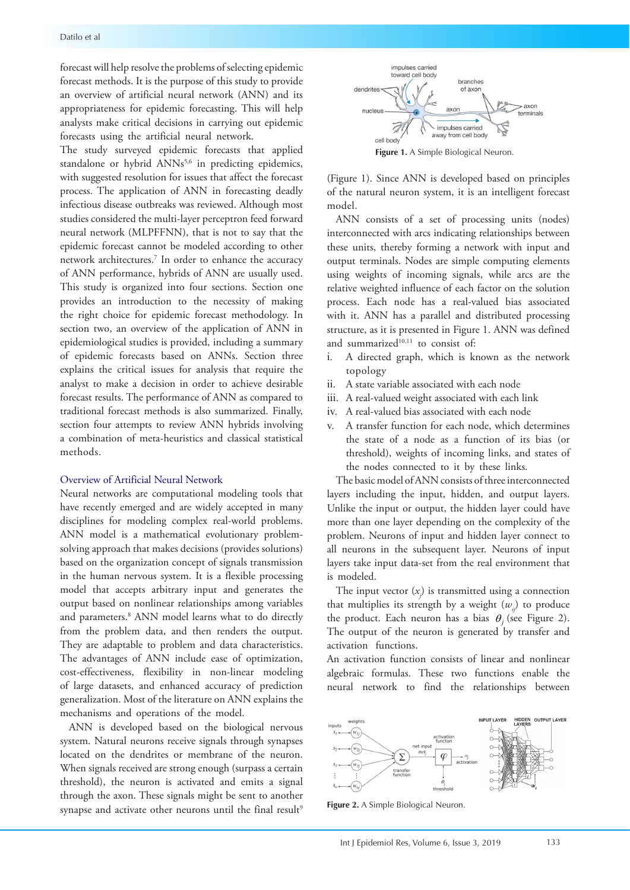forecast will help resolve the problems of selecting epidemic forecast methods. It is the purpose of this study to provide an overview of artificial neural network (ANN) and its appropriateness for epidemic forecasting. This will help analysts make critical decisions in carrying out epidemic forecasts using the artificial neural network.

The study surveyed epidemic forecasts that applied standalone or hybrid ANNs<sup>5,6</sup> in predicting epidemics, with suggested resolution for issues that affect the forecast process. The application of ANN in forecasting deadly infectious disease outbreaks was reviewed. Although most studies considered the multi-layer perceptron feed forward neural network (MLPFFNN), that is not to say that the epidemic forecast cannot be modeled according to other network architectures.7 In order to enhance the accuracy of ANN performance, hybrids of ANN are usually used. This study is organized into four sections. Section one provides an introduction to the necessity of making the right choice for epidemic forecast methodology. In section two, an overview of the application of ANN in epidemiological studies is provided, including a summary of epidemic forecasts based on ANNs. Section three explains the critical issues for analysis that require the analyst to make a decision in order to achieve desirable forecast results. The performance of ANN as compared to traditional forecast methods is also summarized. Finally, section four attempts to review ANN hybrids involving a combination of meta-heuristics and classical statistical methods.

#### Overview of Artificial Neural Network

Neural networks are computational modeling tools that have recently emerged and are widely accepted in many disciplines for modeling complex real-world problems. ANN model is a mathematical evolutionary problemsolving approach that makes decisions (provides solutions) based on the organization concept of signals transmission in the human nervous system. It is a flexible processing model that accepts arbitrary input and generates the output based on nonlinear relationships among variables and parameters.<sup>8</sup> ANN model learns what to do directly from the problem data, and then renders the output. They are adaptable to problem and data characteristics. The advantages of ANN include ease of optimization, cost-effectiveness, flexibility in non-linear modeling of large datasets, and enhanced accuracy of prediction generalization. Most of the literature on ANN explains the mechanisms and operations of the model.

ANN is developed based on the biological nervous system. Natural neurons receive signals through synapses located on the dendrites or membrane of the neuron. When signals received are strong enough (surpass a certain threshold), the neuron is activated and emits a signal through the axon. These signals might be sent to another synapse and activate other neurons until the final result<sup>9</sup>



**Figure 1.** A Simple Biological Neuron.

(Figure 1). Since ANN is developed based on principles of the natural neuron system, it is an intelligent forecast model.

ANN consists of a set of processing units (nodes) interconnected with arcs indicating relationships between these units, thereby forming a network with input and output terminals. Nodes are simple computing elements using weights of incoming signals, while arcs are the relative weighted influence of each factor on the solution process. Each node has a real-valued bias associated with it. ANN has a parallel and distributed processing structure, as it is presented in Figure 1. ANN was defined and summarized<sup>10,11</sup> to consist of:

- i. A directed graph, which is known as the network topology
- ii. A state variable associated with each node
- iii. A real-valued weight associated with each link
- iv. A real-valued bias associated with each node
- v. A transfer function for each node, which determines the state of a node as a function of its bias (or threshold), weights of incoming links, and states of the nodes connected to it by these links.

The basic model of ANN consists of three interconnected layers including the input, hidden, and output layers. Unlike the input or output, the hidden layer could have more than one layer depending on the complexity of the problem. Neurons of input and hidden layer connect to all neurons in the subsequent layer. Neurons of input layers take input data-set from the real environment that is modeled.

The input vector  $(x_j)$  is transmitted using a connection that multiplies its strength by a weight  $(w_i)$  to produce the product. Each neuron has a bias  $\theta$  (see Figure 2). The output of the neuron is generated by transfer and activation functions.

An activation function consists of linear and nonlinear algebraic formulas. These two functions enable the neural network to find the relationships between



**Figure 2.** A Simple Biological Neuron.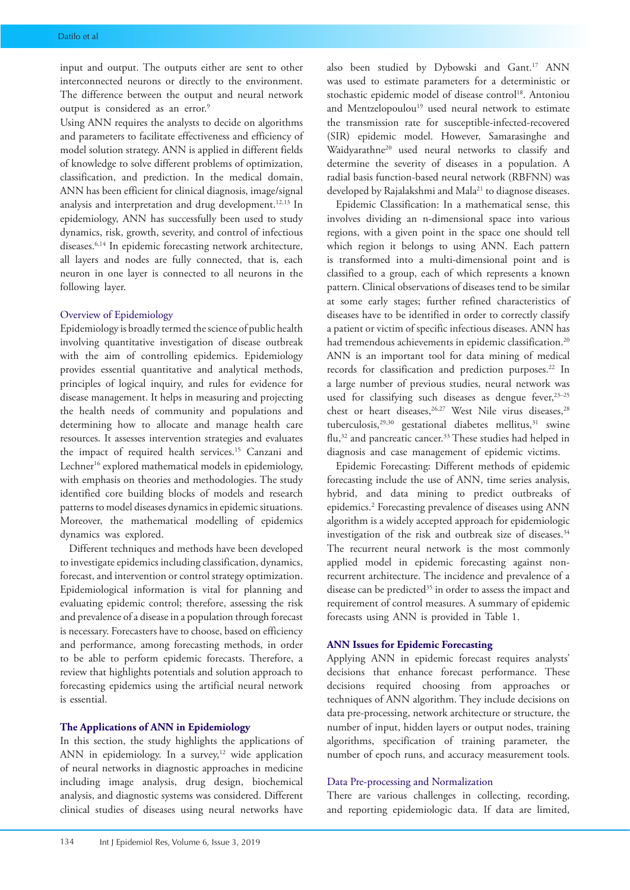input and output. The outputs either are sent to other interconnected neurons or directly to the environment. The difference between the output and neural network output is considered as an error.<sup>9</sup>

Using ANN requires the analysts to decide on algorithms and parameters to facilitate effectiveness and efficiency of model solution strategy. ANN is applied in different fields of knowledge to solve different problems of optimization, classification, and prediction. In the medical domain, ANN has been efficient for clinical diagnosis, image/signal analysis and interpretation and drug development.<sup>12,13</sup> In epidemiology, ANN has successfully been used to study dynamics, risk, growth, severity, and control of infectious diseases.<sup>6,14</sup> In epidemic forecasting network architecture, all layers and nodes are fully connected, that is, each neuron in one layer is connected to all neurons in the following layer.

#### Overview of Epidemiology

Epidemiology is broadly termed the science of public health involving quantitative investigation of disease outbreak with the aim of controlling epidemics. Epidemiology provides essential quantitative and analytical methods, principles of logical inquiry, and rules for evidence for disease management. It helps in measuring and projecting the health needs of community and populations and determining how to allocate and manage health care resources. It assesses intervention strategies and evaluates the impact of required health services.15 Canzani and Lechner<sup>16</sup> explored mathematical models in epidemiology, with emphasis on theories and methodologies. The study identified core building blocks of models and research patterns to model diseases dynamics in epidemic situations. Moreover, the mathematical modelling of epidemics dynamics was explored.

Different techniques and methods have been developed to investigate epidemics including classification, dynamics, forecast, and intervention or control strategy optimization. Epidemiological information is vital for planning and evaluating epidemic control; therefore, assessing the risk and prevalence of a disease in a population through forecast is necessary. Forecasters have to choose, based on efficiency and performance, among forecasting methods, in order to be able to perform epidemic forecasts. Therefore, a review that highlights potentials and solution approach to forecasting epidemics using the artificial neural network is essential.

## **The Applications of ANN in Epidemiology**

In this section, the study highlights the applications of ANN in epidemiology. In a survey, $12$  wide application of neural networks in diagnostic approaches in medicine including image analysis, drug design, biochemical analysis, and diagnostic systems was considered. Different clinical studies of diseases using neural networks have also been studied by Dybowski and Gant.17 ANN was used to estimate parameters for a deterministic or stochastic epidemic model of disease control<sup>18</sup>. Antoniou and Mentzelopoulou<sup>19</sup> used neural network to estimate the transmission rate for susceptible-infected-recovered (SIR) epidemic model. However, Samarasinghe and Waidyarathne<sup>20</sup> used neural networks to classify and determine the severity of diseases in a population. A radial basis function-based neural network (RBFNN) was developed by Rajalakshmi and Mala<sup>21</sup> to diagnose diseases.

Epidemic Classification: In a mathematical sense, this involves dividing an n-dimensional space into various regions, with a given point in the space one should tell which region it belongs to using ANN. Each pattern is transformed into a multi-dimensional point and is classified to a group, each of which represents a known pattern. Clinical observations of diseases tend to be similar at some early stages; further refined characteristics of diseases have to be identified in order to correctly classify a patient or victim of specific infectious diseases. ANN has had tremendous achievements in epidemic classification.<sup>20</sup> ANN is an important tool for data mining of medical records for classification and prediction purposes.<sup>22</sup> In a large number of previous studies, neural network was used for classifying such diseases as dengue fever,<sup>23-25</sup> chest or heart diseases,<sup>26,27</sup> West Nile virus diseases,<sup>28</sup> tuberculosis,<sup>29,30</sup> gestational diabetes mellitus,<sup>31</sup> swine flu,32 and pancreatic cancer.33 These studies had helped in diagnosis and case management of epidemic victims.

Epidemic Forecasting: Different methods of epidemic forecasting include the use of ANN, time series analysis, hybrid, and data mining to predict outbreaks of epidemics.<sup>2</sup> Forecasting prevalence of diseases using ANN algorithm is a widely accepted approach for epidemiologic investigation of the risk and outbreak size of diseases.<sup>34</sup> The recurrent neural network is the most commonly applied model in epidemic forecasting against nonrecurrent architecture. The incidence and prevalence of a disease can be predicted<sup>35</sup> in order to assess the impact and requirement of control measures. A summary of epidemic forecasts using ANN is provided in Table 1.

## **ANN Issues for Epidemic Forecasting**

Applying ANN in epidemic forecast requires analysts' decisions that enhance forecast performance. These decisions required choosing from approaches or techniques of ANN algorithm. They include decisions on data pre-processing, network architecture or structure, the number of input, hidden layers or output nodes, training algorithms, specification of training parameter, the number of epoch runs, and accuracy measurement tools.

## Data Pre-processing and Normalization

There are various challenges in collecting, recording, and reporting epidemiologic data. If data are limited,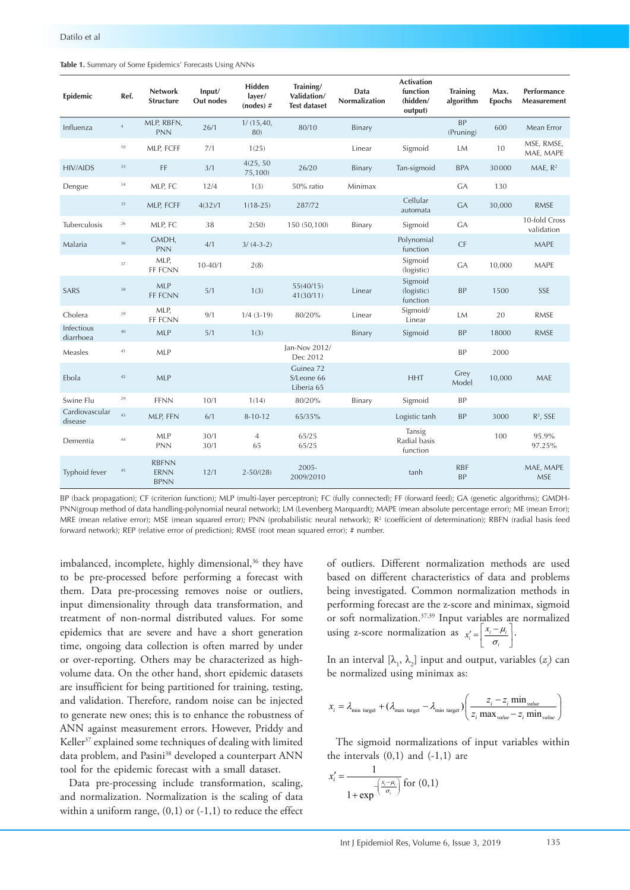|  |  |  |  |  | Table 1. Summary of Some Epidemics' Forecasts Using ANNs |
|--|--|--|--|--|----------------------------------------------------------|
|--|--|--|--|--|----------------------------------------------------------|

| Epidemic                  | Ref.        | <b>Network</b><br><b>Structure</b>         | Input/<br>Out nodes | Hidden<br>layer/<br>$(node)$ # | Training/<br>Validation/<br><b>Test dataset</b> | Data<br>Normalization | <b>Activation</b><br>function<br>(hidden/<br>output) | <b>Training</b><br>algorithm | Max.<br><b>Epochs</b> | <b>Performance</b><br>Measurement |
|---------------------------|-------------|--------------------------------------------|---------------------|--------------------------------|-------------------------------------------------|-----------------------|------------------------------------------------------|------------------------------|-----------------------|-----------------------------------|
| Influenza                 | $\,4\,$     | MLP, RBFN,<br><b>PNN</b>                   | 26/1                | 1/(15, 40,<br>80)              | 80/10                                           | Binary                |                                                      | <b>BP</b><br>(Pruning)       | 600                   | Mean Error                        |
|                           | 10          | MLP, FCFF                                  | 7/1                 | 1(25)                          |                                                 | Linear                | Sigmoid                                              | LM                           | 10                    | MSE, RMSE,<br>MAE, MAPE           |
| <b>HIV/AIDS</b>           | $3\sqrt{3}$ | FF                                         | 3/1                 | 4(25, 50)<br>75,100)           | 26/20                                           | Binary                | Tan-sigmoid                                          | <b>BPA</b>                   | 30000                 | MAE, R <sup>2</sup>               |
| Dengue                    | $3\,4$      | MLP, FC                                    | 12/4                | 1(3)                           | 50% ratio                                       | Minimax               |                                                      | <b>GA</b>                    | 130                   |                                   |
|                           | 35          | MLP, FCFF                                  | 4(32)/1             | $1(18-25)$                     | 287/72                                          |                       | Cellular<br>automata                                 | <b>GA</b>                    | 30,000                | <b>RMSE</b>                       |
| <b>Tuberculosis</b>       | $2\sqrt{6}$ | MLP, FC                                    | 38                  | 2(50)                          | 150 (50,100)                                    | Binary                | Sigmoid                                              | <b>GA</b>                    |                       | 10-fold Cross<br>validation       |
| Malaria                   | $36\,$      | GMDH,<br><b>PNN</b>                        | 4/1                 | $3/(4-3-2)$                    |                                                 |                       | Polynomial<br>function                               | CF                           |                       | MAPE                              |
|                           | 37          | MLP,<br>FF FCNN                            | $10 - 40/1$         | 2(8)                           |                                                 |                       | Sigmoid<br>(logistic)                                | GA                           | 10,000                | MAPE                              |
| SARS                      | $3\sqrt{8}$ | <b>MLP</b><br>FF FCNN                      | 5/1                 | 1(3)                           | 55(40/15)<br>41(30/11)                          | Linear                | Sigmoid<br>(logistic)<br>function                    | <b>BP</b>                    | 1500                  | <b>SSE</b>                        |
| Cholera                   | 39          | MLP,<br>FF FCNN                            | 9/1                 | $1/4$ $(3-19)$                 | 80/20%                                          | Linear                | Sigmoid/<br>Linear                                   | LM                           | 20                    | <b>RMSE</b>                       |
| Infectious<br>diarrhoea   | $40\,$      | <b>MLP</b>                                 | 5/1                 | 1(3)                           |                                                 | <b>Binary</b>         | Sigmoid                                              | <b>BP</b>                    | 18000                 | <b>RMSE</b>                       |
| Measles                   | $41\,$      | <b>MLP</b>                                 |                     |                                | Jan-Nov 2012/<br>Dec 2012                       |                       |                                                      | <b>BP</b>                    | 2000                  |                                   |
| Ebola                     | 42          | <b>MLP</b>                                 |                     |                                | Guinea 72<br>S/Leone 66<br>Liberia 65           |                       | <b>HHT</b>                                           | Grey<br>Model                | 10,000                | MAE                               |
| Swine Flu                 | $\,29$      | <b>FFNN</b>                                | 10/1                | 1(14)                          | 80/20%                                          | Binary                | Sigmoid                                              | <b>BP</b>                    |                       |                                   |
| Cardiovascular<br>disease | 43          | MLP, FFN                                   | 6/1                 | $8 - 10 - 12$                  | 65/35%                                          |                       | Logistic tanh                                        | <b>BP</b>                    | 3000                  | $R^2$ , SSE                       |
| Dementia                  | $44\,$      | MLP<br><b>PNN</b>                          | 30/1<br>30/1        | $\overline{4}$<br>65           | 65/25<br>65/25                                  |                       | Tansig<br>Radial basis<br>function                   |                              | 100                   | 95.9%<br>97.25%                   |
| Typhoid fever             | $45\,$      | <b>RBFNN</b><br><b>ERNN</b><br><b>BPNN</b> | 12/1                | $2 - 50/(28)$                  | $2005 -$<br>2009/2010                           |                       | tanh                                                 | <b>RBF</b><br><b>BP</b>      |                       | MAE, MAPE<br><b>MSE</b>           |

BP (back propagation); CF (criterion function); MLP (multi-layer perceptron); FC (fully connected); FF (forward feed); GA (genetic algorithms); GMDH-PNN(group method of data handling-polynomial neural network); LM (Levenberg Marquardt); MAPE (mean absolute percentage error); ME (mean Error); MRE (mean relative error); MSE (mean squared error); PNN (probabilistic neural network); R<sup>2</sup> (coefficient of determination); RBFN (radial basis feed forward network); REP (relative error of prediction); RMSE (root mean squared error); # number.

imbalanced, incomplete, highly dimensional,<sup>36</sup> they have to be pre-processed before performing a forecast with them. Data pre-processing removes noise or outliers, input dimensionality through data transformation, and treatment of non-normal distributed values. For some epidemics that are severe and have a short generation time, ongoing data collection is often marred by under or over-reporting. Others may be characterized as highvolume data. On the other hand, short epidemic datasets are insufficient for being partitioned for training, testing, and validation. Therefore, random noise can be injected to generate new ones; this is to enhance the robustness of ANN against measurement errors. However, Priddy and Keller<sup>37</sup> explained some techniques of dealing with limited data problem, and Pasini<sup>38</sup> developed a counterpart ANN tool for the epidemic forecast with a small dataset.

Data pre-processing include transformation, scaling, and normalization. Normalization is the scaling of data within a uniform range,  $(0,1)$  or  $(-1,1)$  to reduce the effect of outliers. Different normalization methods are used based on different characteristics of data and problems being investigated. Common normalization methods in performing forecast are the z-score and minimax, sigmoid or soft normalization.37,39 Input variables are normalized using z-score normalization as  $x_i' = \left[ \frac{x_i - \mu_i}{\sigma_i} \right]$ .

In an interval  $[\lambda_1, \lambda_2]$  input and output, variables  $(z)$  can be normalized using minimax as:

$$
x_i = \lambda_{\min \text{ target}} + (\lambda_{\max \text{ target}} - \lambda_{\min \text{ target}}) \left( \frac{z_i - z_i \min_{\text{value}}}{z_i \max_{\text{value}} - z_i \min_{\text{value}}}\right)
$$

The sigmoid normalizations of input variables within the intervals  $(0,1)$  and  $(-1,1)$  are

$$
x'_{i} = \frac{1}{1 + \exp\left(\frac{x_{i} - \mu_{i}}{\sigma_{i}}\right)}
$$
 for (0,1)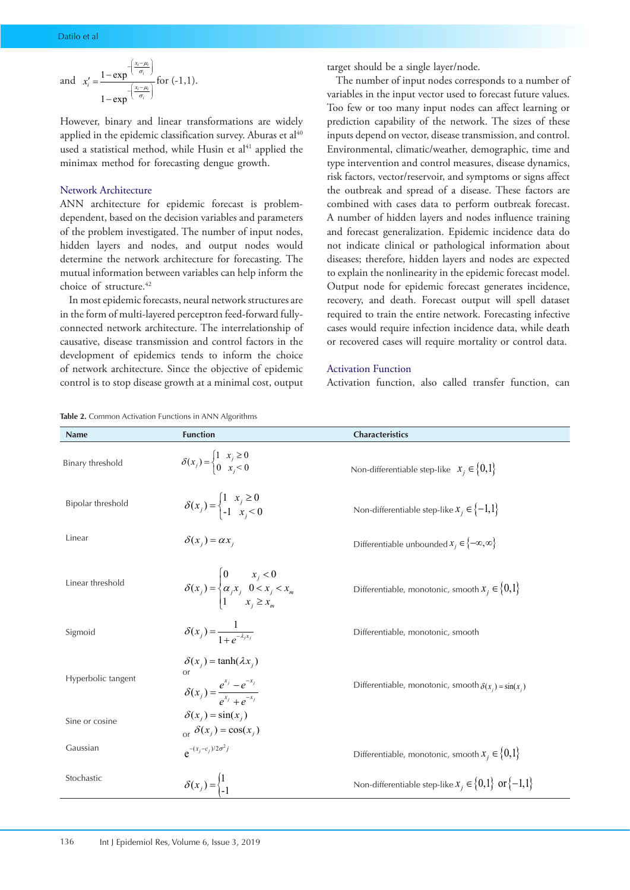and 
$$
x'_i = \frac{1 - \exp\left(\frac{x_i - \mu_i}{\sigma_i}\right)}{1 - \exp\left(\frac{x_i - \mu_i}{\sigma_i}\right)}
$$
 for (-1, 1).

However, binary and linear transformations are widely applied in the epidemic classification survey. Aburas et  $al<sup>40</sup>$ used a statistical method, while Husin et al<sup>41</sup> applied the minimax method for forecasting dengue growth.

## Network Architecture

ANN architecture for epidemic forecast is problemdependent, based on the decision variables and parameters of the problem investigated. The number of input nodes, hidden layers and nodes, and output nodes would determine the network architecture for forecasting. The mutual information between variables can help inform the choice of structure.<sup>42</sup>

In most epidemic forecasts, neural network structures are in the form of multi-layered perceptron feed-forward fullyconnected network architecture. The interrelationship of causative, disease transmission and control factors in the development of epidemics tends to inform the choice of network architecture. Since the objective of epidemic control is to stop disease growth at a minimal cost, output target should be a single layer/node.

The number of input nodes corresponds to a number of variables in the input vector used to forecast future values. Too few or too many input nodes can affect learning or prediction capability of the network. The sizes of these inputs depend on vector, disease transmission, and control. Environmental, climatic/weather, demographic, time and type intervention and control measures, disease dynamics, risk factors, vector/reservoir, and symptoms or signs affect the outbreak and spread of a disease. These factors are combined with cases data to perform outbreak forecast. A number of hidden layers and nodes influence training and forecast generalization. Epidemic incidence data do not indicate clinical or pathological information about diseases; therefore, hidden layers and nodes are expected to explain the nonlinearity in the epidemic forecast model. Output node for epidemic forecast generates incidence, recovery, and death. Forecast output will spell dataset required to train the entire network. Forecasting infective cases would require infection incidence data, while death or recovered cases will require mortality or control data.

### Activation Function

Activation function, also called transfer function, can

| <b>Table 2.</b> Common Activation Functions in ANN Algorithms<br>Name | <b>Function</b>                                                                                           | Characteristics                                              |
|-----------------------------------------------------------------------|-----------------------------------------------------------------------------------------------------------|--------------------------------------------------------------|
| Binary threshold                                                      | $\delta(x_j) = \begin{cases} 1 & x_j \ge 0 \\ 0 & x_i < 0 \end{cases}$                                    | Non-differentiable step-like $x_i \in \{0,1\}$               |
| Bipolar threshold                                                     | $\delta(x_j) = \begin{cases} 1 & x_j \ge 0 \\ -1 & x_j < 0 \end{cases}$                                   | Non-differentiable step-like $x_i \in \{-1,1\}$              |
| Linear                                                                | $\delta(x_i) = \alpha x_i$                                                                                | Differentiable unbounded $x_i \in \{-\infty, \infty\}$       |
| Linear threshold                                                      | $\delta(x_j) = \begin{cases} 0 & x_j < 0 \\ \alpha_j x_j & 0 < x_j < x_m \\ 1 & x_j \ge x_m \end{cases}$  | Differentiable, monotonic, smooth $x_i \in \{0,1\}$          |
| Sigmoid                                                               | $\delta(x_j) = \frac{1}{1 + e^{-\lambda_j x_j}}$                                                          | Differentiable, monotonic, smooth                            |
| Hyperbolic tangent                                                    | $\delta(x_i) = \tanh(\lambda x_i)$<br>or<br>$\delta(x_j) = \frac{e^{x_j} - e^{-x_j}}{e^{x_j} + e^{-x_j}}$ | Differentiable, monotonic, smooth $\delta(x_i) = \sin(x_i)$  |
| Sine or cosine                                                        | $\delta(x_i) = \sin(x_i)$<br>or $\delta(x_j) = \cos(x_j)$                                                 |                                                              |
| Gaussian                                                              | $e^{-(x_j-c_j)/2\sigma^2 j}$                                                                              | Differentiable, monotonic, smooth $x_i \in \{0,1\}$          |
| Stochastic                                                            | $\delta(x_j) = \begin{cases} 1 \\ -1 \end{cases}$                                                         | Non-differentiable step-like $x_i \in \{0,1\}$ or $\{-1,1\}$ |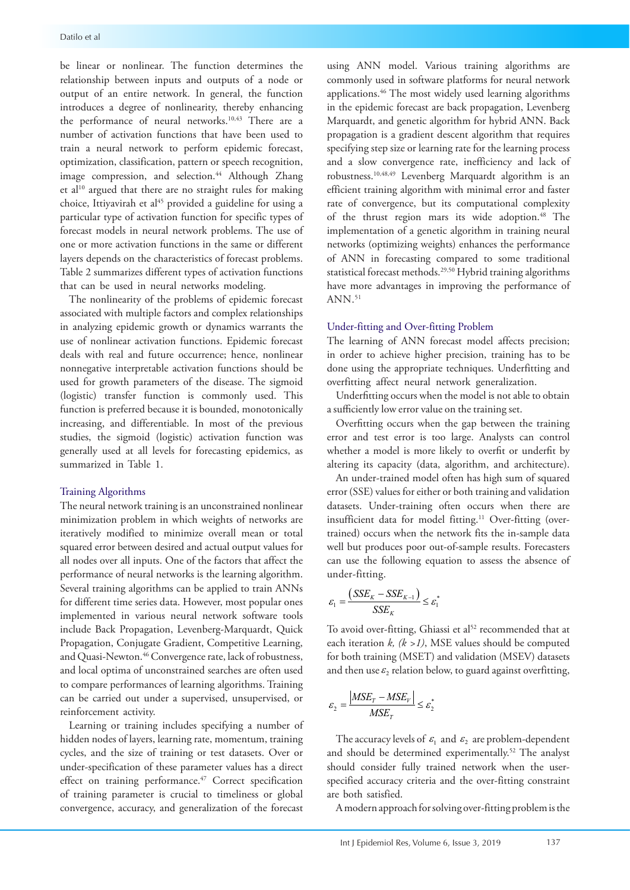be linear or nonlinear. The function determines the relationship between inputs and outputs of a node or output of an entire network. In general, the function introduces a degree of nonlinearity, thereby enhancing the performance of neural networks.10,43 There are a number of activation functions that have been used to train a neural network to perform epidemic forecast, optimization, classification, pattern or speech recognition, image compression, and selection.<sup>44</sup> Although Zhang et al<sup>10</sup> argued that there are no straight rules for making choice, Ittiyavirah et al<sup>45</sup> provided a guideline for using a particular type of activation function for specific types of forecast models in neural network problems. The use of one or more activation functions in the same or different layers depends on the characteristics of forecast problems. Table 2 summarizes different types of activation functions that can be used in neural networks modeling.

The nonlinearity of the problems of epidemic forecast associated with multiple factors and complex relationships in analyzing epidemic growth or dynamics warrants the use of nonlinear activation functions. Epidemic forecast deals with real and future occurrence; hence, nonlinear nonnegative interpretable activation functions should be used for growth parameters of the disease. The sigmoid (logistic) transfer function is commonly used. This function is preferred because it is bounded, monotonically increasing, and differentiable. In most of the previous studies, the sigmoid (logistic) activation function was generally used at all levels for forecasting epidemics, as summarized in Table 1.

## Training Algorithms

The neural network training is an unconstrained nonlinear minimization problem in which weights of networks are iteratively modified to minimize overall mean or total squared error between desired and actual output values for all nodes over all inputs. One of the factors that affect the performance of neural networks is the learning algorithm. Several training algorithms can be applied to train ANNs for different time series data. However, most popular ones implemented in various neural network software tools include Back Propagation, Levenberg-Marquardt, Quick Propagation, Conjugate Gradient, Competitive Learning, and Quasi-Newton.46 Convergence rate, lack of robustness, and local optima of unconstrained searches are often used to compare performances of learning algorithms. Training can be carried out under a supervised, unsupervised, or reinforcement activity.

Learning or training includes specifying a number of hidden nodes of layers, learning rate, momentum, training cycles, and the size of training or test datasets. Over or under-specification of these parameter values has a direct effect on training performance.<sup>47</sup> Correct specification of training parameter is crucial to timeliness or global convergence, accuracy, and generalization of the forecast

using ANN model. Various training algorithms are commonly used in software platforms for neural network applications.46 The most widely used learning algorithms in the epidemic forecast are back propagation, Levenberg Marquardt, and genetic algorithm for hybrid ANN. Back propagation is a gradient descent algorithm that requires specifying step size or learning rate for the learning process and a slow convergence rate, inefficiency and lack of robustness.10,48,49 Levenberg Marquardt algorithm is an efficient training algorithm with minimal error and faster rate of convergence, but its computational complexity of the thrust region mars its wide adoption.<sup>48</sup> The implementation of a genetic algorithm in training neural networks (optimizing weights) enhances the performance of ANN in forecasting compared to some traditional statistical forecast methods.29,50 Hybrid training algorithms have more advantages in improving the performance of  $ANN$ .<sup>51</sup>

#### Under-fitting and Over-fitting Problem

The learning of ANN forecast model affects precision; in order to achieve higher precision, training has to be done using the appropriate techniques. Underfitting and overfitting affect neural network generalization.

Underfitting occurs when the model is not able to obtain a sufficiently low error value on the training set.

Overfitting occurs when the gap between the training error and test error is too large. Analysts can control whether a model is more likely to overfit or underfit by altering its capacity (data, algorithm, and architecture).

An under-trained model often has high sum of squared error (SSE) values for either or both training and validation datasets. Under-training often occurs when there are insufficient data for model fitting.<sup>11</sup> Over-fitting (overtrained) occurs when the network fits the in-sample data well but produces poor out-of-sample results. Forecasters can use the following equation to assess the absence of under-fitting.

$$
\varepsilon_1 = \frac{(SSE_K - SSE_{K-1})}{SSE_K} \le \varepsilon_1^*
$$

To avoid over-fitting, Ghiassi et al<sup>52</sup> recommended that at each iteration *k, (k >1)*, MSE values should be computed for both training (MSET) and validation (MSEV) datasets and then use  $\varepsilon_2$  relation below, to guard against overfitting,

$$
\varepsilon_2 = \frac{|MSE_T - MSE_\nu|}{MSE_T} \le \varepsilon_2^*
$$

The accuracy levels of  $\varepsilon_1$  and  $\varepsilon_2$  are problem-dependent and should be determined experimentally.<sup>52</sup> The analyst should consider fully trained network when the userspecified accuracy criteria and the over-fitting constraint are both satisfied.

A modern approach for solving over-fitting problem is the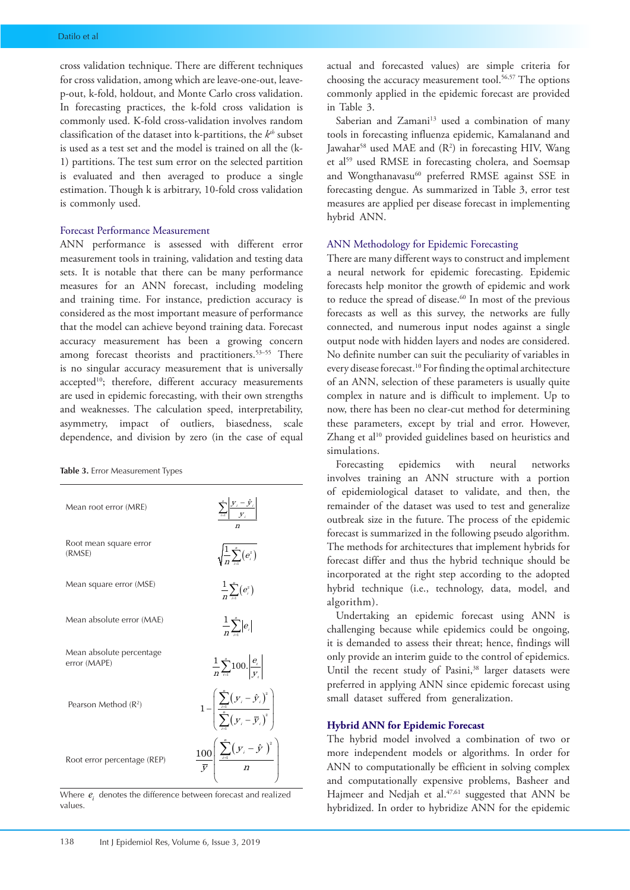cross validation technique. There are different techniques for cross validation, among which are leave-one-out, leavep-out, k-fold, holdout, and Monte Carlo cross validation. In forecasting practices, the k-fold cross validation is commonly used. K-fold cross-validation involves random classification of the dataset into k-partitions, the *kth* subset is used as a test set and the model is trained on all the (k-1) partitions. The test sum error on the selected partition is evaluated and then averaged to produce a single estimation. Though k is arbitrary, 10-fold cross validation is commonly used.

#### Forecast Performance Measurement

ANN performance is assessed with different error measurement tools in training, validation and testing data sets. It is notable that there can be many performance measures for an ANN forecast, including modeling and training time. For instance, prediction accuracy is considered as the most important measure of performance that the model can achieve beyond training data. Forecast accuracy measurement has been a growing concern among forecast theorists and practitioners.<sup>53-55</sup> There is no singular accuracy measurement that is universally accepted<sup>10</sup>; therefore, different accuracy measurements are used in epidemic forecasting, with their own strengths and weaknesses. The calculation speed, interpretability, asymmetry, impact of outliers, biasedness, scale dependence, and division by zero (in the case of equal

#### **Table 3.** Error Measurement Types

| Mean root error (MRE)                    | $\sum_{i=1}^n \left  \frac{\mathbf{y}_i - \hat{\mathbf{y}}_i}{\mathbf{y}_i} \right $                                                                    |
|------------------------------------------|---------------------------------------------------------------------------------------------------------------------------------------------------------|
| Root mean square error<br>(RMSE)         | $\sqrt{\frac{1}{n}\sum_{i}^{n}(e_{i}^{2})}$                                                                                                             |
| Mean square error (MSE)                  | $-\frac{1}{n}\sum_{i}^{n}(e_{i}^{2})$                                                                                                                   |
| Mean absolute error (MAE)                | $\frac{1}{n}\sum_{i}^{n}  e_{i} $                                                                                                                       |
| Mean absolute percentage<br>error (MAPE) | $\frac{1}{n} \sum_{t=1}^{n} 100. \frac{e_t}{ V }$                                                                                                       |
| Pearson Method $(R^2)$                   | $1-\left(\frac{\sum\limits_{i=1}^{n}\left(y_{i}-\hat{\bm{y}}_{i}\right)^{2}}{\sum\limits_{i=1}^{n}\left(y_{i}-\overline{\bm{y}}_{i}\right)^{2}}\right)$ |
| Root error percentage (REP)              | $\frac{100}{\bar{y}}\left[\frac{\sum_{i=1}^{n}(y_i-\hat{y})^2}{n}\right]$                                                                               |

Where  $e_i$  denotes the difference between forecast and realized values.

actual and forecasted values) are simple criteria for choosing the accuracy measurement tool.<sup>56,57</sup> The options commonly applied in the epidemic forecast are provided in Table 3.

Saberian and Zamani<sup>13</sup> used a combination of many tools in forecasting influenza epidemic, Kamalanand and Jawahar<sup>58</sup> used MAE and (R<sup>2</sup>) in forecasting HIV, Wang et al<sup>59</sup> used RMSE in forecasting cholera, and Soemsap and Wongthanavasu<sup>60</sup> preferred RMSE against SSE in forecasting dengue. As summarized in Table 3, error test measures are applied per disease forecast in implementing hybrid ANN.

#### ANN Methodology for Epidemic Forecasting

There are many different ways to construct and implement a neural network for epidemic forecasting. Epidemic forecasts help monitor the growth of epidemic and work to reduce the spread of disease.<sup>60</sup> In most of the previous forecasts as well as this survey, the networks are fully connected, and numerous input nodes against a single output node with hidden layers and nodes are considered. No definite number can suit the peculiarity of variables in every disease forecast.<sup>10</sup> For finding the optimal architecture of an ANN, selection of these parameters is usually quite complex in nature and is difficult to implement. Up to now, there has been no clear-cut method for determining these parameters, except by trial and error. However, Zhang et al<sup>10</sup> provided guidelines based on heuristics and simulations.

Forecasting epidemics with neural networks involves training an ANN structure with a portion of epidemiological dataset to validate, and then, the remainder of the dataset was used to test and generalize outbreak size in the future. The process of the epidemic forecast is summarized in the following pseudo algorithm. The methods for architectures that implement hybrids for forecast differ and thus the hybrid technique should be incorporated at the right step according to the adopted hybrid technique (i.e., technology, data, model, and algorithm).

Undertaking an epidemic forecast using ANN is challenging because while epidemics could be ongoing, it is demanded to assess their threat; hence, findings will only provide an interim guide to the control of epidemics. Until the recent study of Pasini,<sup>38</sup> larger datasets were preferred in applying ANN since epidemic forecast using small dataset suffered from generalization.

#### **Hybrid ANN for Epidemic Forecast**

The hybrid model involved a combination of two or more independent models or algorithms. In order for ANN to computationally be efficient in solving complex and computationally expensive problems, Basheer and Hajmeer and Nedjah et al.<sup>47,61</sup> suggested that ANN be hybridized. In order to hybridize ANN for the epidemic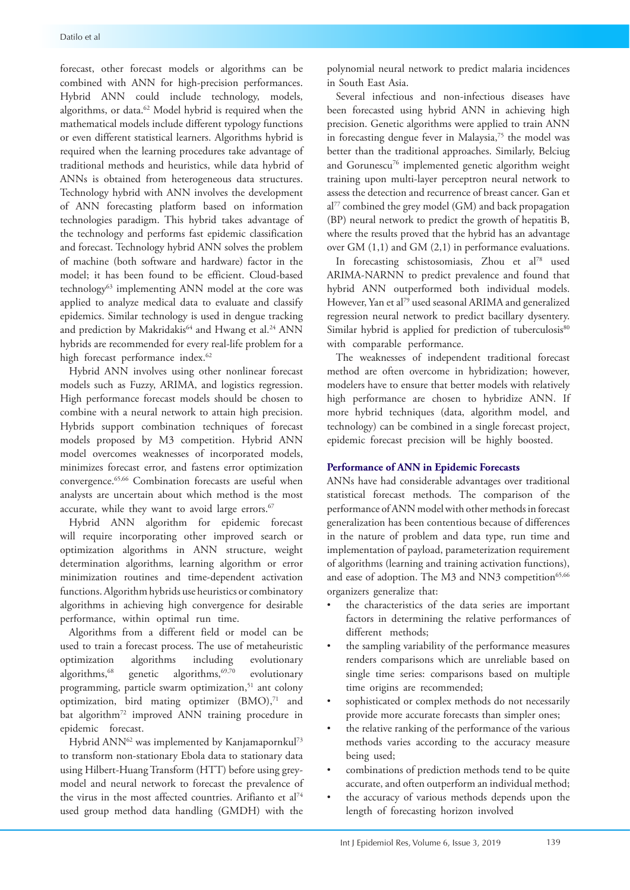forecast, other forecast models or algorithms can be combined with ANN for high-precision performances. Hybrid ANN could include technology, models, algorithms, or data.<sup>62</sup> Model hybrid is required when the mathematical models include different typology functions or even different statistical learners. Algorithms hybrid is required when the learning procedures take advantage of traditional methods and heuristics, while data hybrid of ANNs is obtained from heterogeneous data structures. Technology hybrid with ANN involves the development of ANN forecasting platform based on information technologies paradigm. This hybrid takes advantage of the technology and performs fast epidemic classification and forecast. Technology hybrid ANN solves the problem of machine (both software and hardware) factor in the model; it has been found to be efficient. Cloud-based technology<sup>63</sup> implementing ANN model at the core was applied to analyze medical data to evaluate and classify epidemics. Similar technology is used in dengue tracking and prediction by Makridakis<sup>64</sup> and Hwang et al.<sup>24</sup> ANN hybrids are recommended for every real-life problem for a high forecast performance index.<sup>62</sup>

Hybrid ANN involves using other nonlinear forecast models such as Fuzzy, ARIMA, and logistics regression. High performance forecast models should be chosen to combine with a neural network to attain high precision. Hybrids support combination techniques of forecast models proposed by M3 competition. Hybrid ANN model overcomes weaknesses of incorporated models, minimizes forecast error, and fastens error optimization convergence.65,66 Combination forecasts are useful when analysts are uncertain about which method is the most accurate, while they want to avoid large errors.<sup>67</sup>

Hybrid ANN algorithm for epidemic forecast will require incorporating other improved search or optimization algorithms in ANN structure, weight determination algorithms, learning algorithm or error minimization routines and time-dependent activation functions. Algorithm hybrids use heuristics or combinatory algorithms in achieving high convergence for desirable performance, within optimal run time.

Algorithms from a different field or model can be used to train a forecast process. The use of metaheuristic optimization algorithms including evolutionary algorithms, $68$  genetic algorithms, $69,70$  evolutionary programming, particle swarm optimization,<sup>51</sup> ant colony optimization, bird mating optimizer  $(BMO)$ ,<sup>71</sup> and bat algorithm<sup>72</sup> improved ANN training procedure in epidemic forecast.

Hybrid ANN<sup>62</sup> was implemented by Kanjamapornkul<sup>73</sup> to transform non-stationary Ebola data to stationary data using Hilbert-Huang Transform (HTT) before using greymodel and neural network to forecast the prevalence of the virus in the most affected countries. Arifianto et al<sup>74</sup> used group method data handling (GMDH) with the polynomial neural network to predict malaria incidences in South East Asia.

Several infectious and non-infectious diseases have been forecasted using hybrid ANN in achieving high precision. Genetic algorithms were applied to train ANN in forecasting dengue fever in Malaysia, $75$  the model was better than the traditional approaches. Similarly, Belciug and Gorunescu<sup>76</sup> implemented genetic algorithm weight training upon multi-layer perceptron neural network to assess the detection and recurrence of breast cancer. Gan et al<sup>77</sup> combined the grey model (GM) and back propagation (BP) neural network to predict the growth of hepatitis B, where the results proved that the hybrid has an advantage over GM (1,1) and GM (2,1) in performance evaluations.

In forecasting schistosomiasis, Zhou et al<sup>78</sup> used ARIMA-NARNN to predict prevalence and found that hybrid ANN outperformed both individual models. However, Yan et al<sup>79</sup> used seasonal ARIMA and generalized regression neural network to predict bacillary dysentery. Similar hybrid is applied for prediction of tuberculosis<sup>80</sup> with comparable performance.

The weaknesses of independent traditional forecast method are often overcome in hybridization; however, modelers have to ensure that better models with relatively high performance are chosen to hybridize ANN. If more hybrid techniques (data, algorithm model, and technology) can be combined in a single forecast project, epidemic forecast precision will be highly boosted.

## **Performance of ANN in Epidemic Forecasts**

ANNs have had considerable advantages over traditional statistical forecast methods. The comparison of the performance of ANN model with other methods in forecast generalization has been contentious because of differences in the nature of problem and data type, run time and implementation of payload, parameterization requirement of algorithms (learning and training activation functions), and ease of adoption. The M3 and NN3 competition<sup>65,66</sup> organizers generalize that:

- the characteristics of the data series are important factors in determining the relative performances of different methods;
- the sampling variability of the performance measures renders comparisons which are unreliable based on single time series: comparisons based on multiple time origins are recommended;
- sophisticated or complex methods do not necessarily provide more accurate forecasts than simpler ones;
- the relative ranking of the performance of the various methods varies according to the accuracy measure being used;
- combinations of prediction methods tend to be quite accurate, and often outperform an individual method;
- the accuracy of various methods depends upon the length of forecasting horizon involved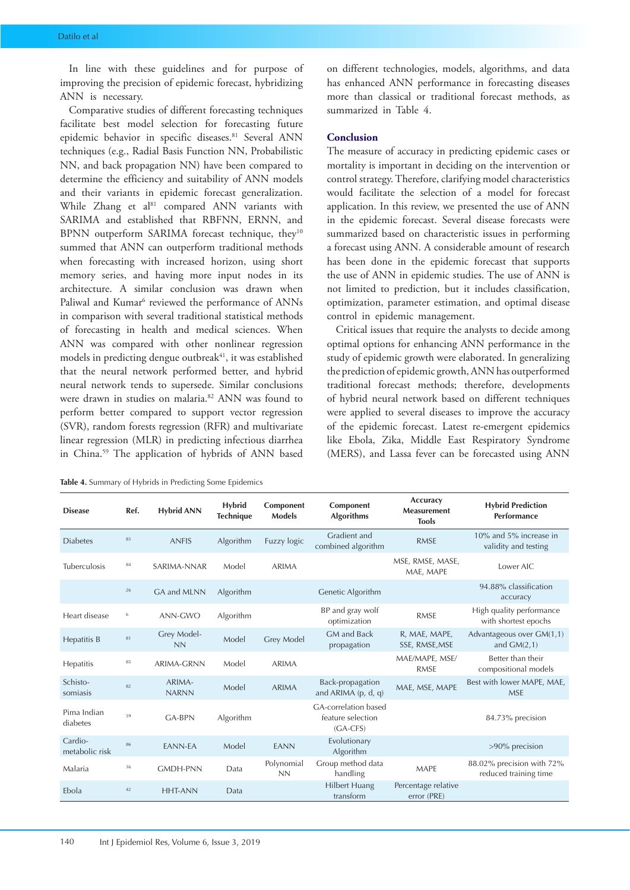In line with these guidelines and for purpose of improving the precision of epidemic forecast, hybridizing ANN is necessary.

Comparative studies of different forecasting techniques facilitate best model selection for forecasting future epidemic behavior in specific diseases.<sup>81</sup> Several ANN techniques (e.g., Radial Basis Function NN, Probabilistic NN, and back propagation NN) have been compared to determine the efficiency and suitability of ANN models and their variants in epidemic forecast generalization. While Zhang et al<sup>81</sup> compared ANN variants with SARIMA and established that RBFNN, ERNN, and BPNN outperform SARIMA forecast technique, they<sup>10</sup> summed that ANN can outperform traditional methods when forecasting with increased horizon, using short memory series, and having more input nodes in its architecture. A similar conclusion was drawn when Paliwal and Kumar<sup>6</sup> reviewed the performance of ANNs in comparison with several traditional statistical methods of forecasting in health and medical sciences. When ANN was compared with other nonlinear regression models in predicting dengue outbreak<sup>41</sup>, it was established that the neural network performed better, and hybrid neural network tends to supersede. Similar conclusions were drawn in studies on malaria.<sup>82</sup> ANN was found to perform better compared to support vector regression (SVR), random forests regression (RFR) and multivariate linear regression (MLR) in predicting infectious diarrhea in China.59 The application of hybrids of ANN based

| Table 4. Summary of Hybrids in Predicting Some Epidemics |  |  |  |
|----------------------------------------------------------|--|--|--|
|----------------------------------------------------------|--|--|--|

on different technologies, models, algorithms, and data has enhanced ANN performance in forecasting diseases more than classical or traditional forecast methods, as summarized in Table 4.

## **Conclusion**

The measure of accuracy in predicting epidemic cases or mortality is important in deciding on the intervention or control strategy. Therefore, clarifying model characteristics would facilitate the selection of a model for forecast application. In this review, we presented the use of ANN in the epidemic forecast. Several disease forecasts were summarized based on characteristic issues in performing a forecast using ANN. A considerable amount of research has been done in the epidemic forecast that supports the use of ANN in epidemic studies. The use of ANN is not limited to prediction, but it includes classification, optimization, parameter estimation, and optimal disease control in epidemic management.

Critical issues that require the analysts to decide among optimal options for enhancing ANN performance in the study of epidemic growth were elaborated. In generalizing the prediction of epidemic growth, ANN has outperformed traditional forecast methods; therefore, developments of hybrid neural network based on different techniques were applied to several diseases to improve the accuracy of the epidemic forecast. Latest re-emergent epidemics like Ebola, Zika, Middle East Respiratory Syndrome (MERS), and Lassa fever can be forecasted using ANN

| <b>Disease</b>            | Ref.     | <b>Hybrid ANN</b>        | <b>Hybrid</b><br><b>Technique</b> | Component<br><b>Models</b> | Component<br><b>Algorithms</b>                          | Accuracy<br><b>Measurement</b><br><b>Tools</b> | <b>Hybrid Prediction</b><br>Performance            |
|---------------------------|----------|--------------------------|-----------------------------------|----------------------------|---------------------------------------------------------|------------------------------------------------|----------------------------------------------------|
| <b>Diabetes</b>           | 83       | <b>ANFIS</b>             | Algorithm                         | Fuzzy logic                | Gradient and<br>combined algorithm                      | <b>RMSE</b>                                    | 10% and 5% increase in<br>validity and testing     |
| Tuberculosis              | 84       | SARIMA-NNAR              | Model                             | <b>ARIMA</b>               |                                                         | MSE, RMSE, MASE,<br>MAE, MAPE                  | Lower AIC                                          |
|                           | 26       | GA and MLNN              | Algorithm                         |                            | Genetic Algorithm                                       |                                                | 94.88% classification<br>accuracy                  |
| Heart disease             | 6        | ANN-GWO                  | Algorithm                         |                            | BP and gray wolf<br>optimization                        | <b>RMSE</b>                                    | High quality performance<br>with shortest epochs   |
| Hepatitis B               | $\rm 81$ | Grey Model-<br><b>NN</b> | Model                             | Grey Model                 | <b>GM</b> and Back<br>propagation                       | R, MAE, MAPE,<br>SSE, RMSE, MSE                | Advantageous over GM(1,1)<br>and $GM(2,1)$         |
| Hepatitis                 | 85       | <b>ARIMA-GRNN</b>        | Model                             | <b>ARIMA</b>               |                                                         | MAE/MAPE, MSE/<br><b>RMSE</b>                  | Better than their<br>compositional models          |
| Schisto-<br>somiasis      | 82       | ARIMA-<br><b>NARNN</b>   | Model                             | <b>ARIMA</b>               | Back-propagation<br>and ARIMA (p, d, q)                 | MAE, MSE, MAPE                                 | Best with lower MAPE, MAE,<br><b>MSE</b>           |
| Pima Indian<br>diabetes   | 59       | <b>GA-BPN</b>            | Algorithm                         |                            | GA-correlation based<br>feature selection<br>$(GA-CFS)$ |                                                | 84.73% precision                                   |
| Cardio-<br>metabolic risk | 86       | <b>EANN-EA</b>           | Model                             | <b>EANN</b>                | Evolutionary<br>Algorithm                               |                                                | >90% precision                                     |
| Malaria                   | 36       | <b>GMDH-PNN</b>          | Data                              | Polynomial<br><b>NN</b>    | Group method data<br>handling                           | <b>MAPE</b>                                    | 88.02% precision with 72%<br>reduced training time |
| Ebola                     | 42       | <b>HHT-ANN</b>           | Data                              |                            | <b>Hilbert Huang</b><br>transform                       | Percentage relative<br>error (PRE)             |                                                    |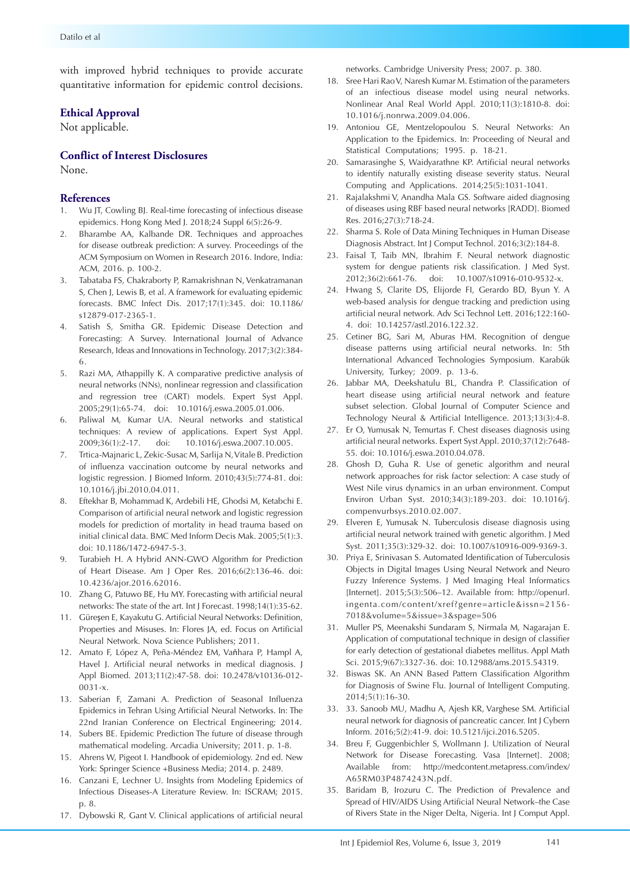with improved hybrid techniques to provide accurate quantitative information for epidemic control decisions.

## **Ethical Approval**

Not applicable.

## **Conflict of Interest Disclosures**

None.

### **References**

- 1. Wu JT, Cowling BJ. Real-time forecasting of infectious disease epidemics. Hong Kong Med J. 2018;24 Suppl 6(5):26-9.
- 2. Bharambe AA, Kalbande DR. Techniques and approaches for disease outbreak prediction: A survey. Proceedings of the ACM Symposium on Women in Research 2016. Indore, India: ACM, 2016. p. 100-2.
- 3. Tabataba FS, Chakraborty P, Ramakrishnan N, Venkatramanan S, Chen J, Lewis B, et al. A framework for evaluating epidemic forecasts. BMC Infect Dis. 2017;17(1):345. doi: 10.1186/ s12879-017-2365-1.
- 4. Satish S, Smitha GR. Epidemic Disease Detection and Forecasting: A Survey. International Journal of Advance Research, Ideas and Innovations in Technology. 2017;3(2):384- 6.
- 5. Razi MA, Athappilly K. A comparative predictive analysis of neural networks (NNs), nonlinear regression and classification and regression tree (CART) models. Expert Syst Appl. 2005;29(1):65-74. doi: 10.1016/j.eswa.2005.01.006.
- 6. Paliwal M, Kumar UA. Neural networks and statistical techniques: A review of applications. Expert Syst Appl. 2009;36(1):2-17. doi: 10.1016/j.eswa.2007.10.005.
- 7. Trtica-Majnaric L, Zekic-Susac M, Sarlija N, Vitale B. Prediction of influenza vaccination outcome by neural networks and logistic regression. J Biomed Inform. 2010;43(5):774-81. doi: 10.1016/j.jbi.2010.04.011.
- 8. Eftekhar B, Mohammad K, Ardebili HE, Ghodsi M, Ketabchi E. Comparison of artificial neural network and logistic regression models for prediction of mortality in head trauma based on initial clinical data. BMC Med Inform Decis Mak. 2005;5(1):3. doi: 10.1186/1472-6947-5-3.
- 9. Turabieh H. A Hybrid ANN-GWO Algorithm for Prediction of Heart Disease. Am J Oper Res. 2016;6(2):136-46. doi: 10.4236/ajor.2016.62016.
- 10. Zhang G, Patuwo BE, Hu MY. Forecasting with artificial neural networks: The state of the art. Int J Forecast. 1998;14(1):35-62.
- 11. Güreşen E, Kayakutu G. Artificial Neural Networks: Definition, Properties and Misuses. In: Flores JA, ed. Focus on Artificial Neural Network. Nova Science Publishers; 2011.
- 12. Amato F, López A, Peña-Méndez EM, Vaňhara P, Hampl A, Havel J. Artificial neural networks in medical diagnosis. J Appl Biomed. 2013;11(2):47-58. doi: 10.2478/v10136-012- 0031-x.
- 13. Saberian F, Zamani A. Prediction of Seasonal Influenza Epidemics in Tehran Using Artificial Neural Networks. In: The 22nd Iranian Conference on Electrical Engineering; 2014.
- 14. Subers BE. Epidemic Prediction The future of disease through mathematical modeling. Arcadia University; 2011. p. 1-8.
- 15. Ahrens W, Pigeot I. Handbook of epidemiology. 2nd ed. New York: Springer Science +Business Media; 2014. p. 2489.
- 16. Canzani E, Lechner U. Insights from Modeling Epidemics of Infectious Diseases-A Literature Review. In: ISCRAM; 2015. p. 8.
- 17. Dybowski R, Gant V. Clinical applications of artificial neural

networks. Cambridge University Press; 2007. p. 380.

- 18. Sree Hari Rao V, Naresh Kumar M. Estimation of the parameters of an infectious disease model using neural networks. Nonlinear Anal Real World Appl. 2010;11(3):1810-8. doi: 10.1016/j.nonrwa.2009.04.006.
- 19. Antoniou GE, Mentzelopoulou S. Neural Networks: An Application to the Epidemics. In: Proceeding of Neural and Statistical Computations; 1995. p. 18-21.
- 20. Samarasinghe S, Waidyarathne KP. Artificial neural networks to identify naturally existing disease severity status. Neural Computing and Applications. 2014;25(5):1031-1041.
- 21. Rajalakshmi V, Anandha Mala GS. Software aided diagnosing of diseases using RBF based neural networks [RADD]. Biomed Res. 2016;27(3):718-24.
- 22. Sharma S. Role of Data Mining Techniques in Human Disease Diagnosis Abstract. Int J Comput Technol. 2016;3(2):184-8.
- 23. Faisal T, Taib MN, Ibrahim F. Neural network diagnostic system for dengue patients risk classification. J Med Syst. 2012;36(2):661-76. doi: 10.1007/s10916-010-9532-x.
- 24. Hwang S, Clarite DS, Elijorde FI, Gerardo BD, Byun Y. A web-based analysis for dengue tracking and prediction using artificial neural network. Adv Sci Technol Lett. 2016;122:160- 4. doi: 10.14257/astl.2016.122.32.
- 25. Cetiner BG, Sari M, Aburas HM. Recognition of dengue disease patterns using artificial neural networks. In: 5th International Advanced Technologies Symposium. Karabük University, Turkey; 2009. p. 13-6.
- 26. Jabbar MA, Deekshatulu BL, Chandra P. Classification of heart disease using artificial neural network and feature subset selection. Global Journal of Computer Science and Technology Neural & Artificial Intelligence. 2013;13(3):4-8.
- 27. Er O, Yumusak N, Temurtas F. Chest diseases diagnosis using artificial neural networks. Expert Syst Appl. 2010;37(12):7648- 55. doi: 10.1016/j.eswa.2010.04.078.
- 28. Ghosh D, Guha R. Use of genetic algorithm and neural network approaches for risk factor selection: A case study of West Nile virus dynamics in an urban environment. Comput Environ Urban Syst. 2010;34(3):189-203. doi: 10.1016/j. compenvurbsys.2010.02.007.
- 29. Elveren E, Yumusak N. Tuberculosis disease diagnosis using artificial neural network trained with genetic algorithm. J Med Syst. 2011;35(3):329-32. doi: 10.1007/s10916-009-9369-3.
- 30. Priya E, Srinivasan S. Automated Identification of Tuberculosis Objects in Digital Images Using Neural Network and Neuro Fuzzy Inference Systems. J Med Imaging Heal Informatics [Internet]. 2015;5(3):506–12. Available from: http://openurl. ingenta.com/content/xref?genre=article&issn=2156- 7018&volume=5&issue=3&spage=506
- 31. Muller PS, Meenakshi Sundaram S, Nirmala M, Nagarajan E. Application of computational technique in design of classifier for early detection of gestational diabetes mellitus. Appl Math Sci. 2015;9(67):3327-36. doi: 10.12988/ams.2015.54319.
- 32. Biswas SK. An ANN Based Pattern Classification Algorithm for Diagnosis of Swine Flu. Journal of Intelligent Computing. 2014;5(1):16-30.
- 33. 33. Sanoob MU, Madhu A, Ajesh KR, Varghese SM. Artificial neural network for diagnosis of pancreatic cancer. Int J Cybern Inform. 2016;5(2):41-9. doi: 10.5121/ijci.2016.5205.
- 34. Breu F, Guggenbichler S, Wollmann J. Utilization of Neural Network for Disease Forecasting. Vasa [Internet]. 2008; Available from: [http://medcontent.metapress.com/index/](http://medcontent.metapress.com/index/A65RM03P4874243N.pdf) [A65RM03P4874243N.pdf](http://medcontent.metapress.com/index/A65RM03P4874243N.pdf).
- 35. Baridam B, Irozuru C. The Prediction of Prevalence and Spread of HIV/AIDS Using Artificial Neural Network–the Case of Rivers State in the Niger Delta, Nigeria. Int J Comput Appl.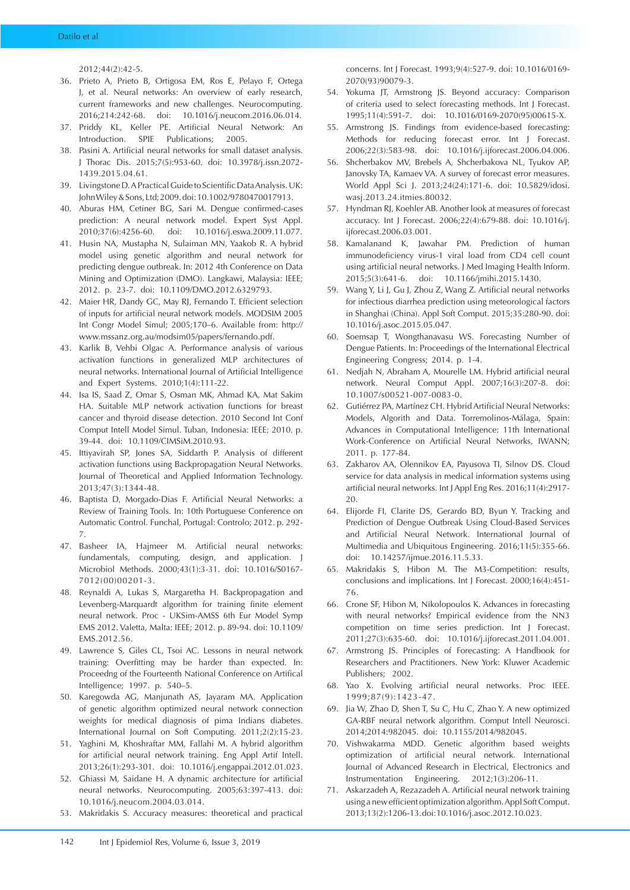2012;44(2):42-5.

- 36. Prieto A, Prieto B, Ortigosa EM, Ros E, Pelayo F, Ortega J, et al. Neural networks: An overview of early research, current frameworks and new challenges. Neurocomputing. 2016;214:242-68. doi: 10.1016/j.neucom.2016.06.014.
- 37. Priddy KL, Keller PE. Artificial Neural Network: An Introduction. SPIE Publications; 2005.
- 38. Pasini A. Artificial neural networks for small dataset analysis. J Thorac Dis. 2015;7(5):953-60. doi: 10.3978/j.issn.2072- 1439.2015.04.61.
- 39. Livingstone D. A Practical Guide to Scientific Data Analysis. UK: John Wiley & Sons, Ltd; 2009. doi: 10.1002/9780470017913.
- 40. Aburas HM, Cetiner BG, Sari M. Dengue confirmed-cases prediction: A neural network model. Expert Syst Appl. 2010;37(6):4256-60. doi: 10.1016/j.eswa.2009.11.077.
- 41. Husin NA, Mustapha N, Sulaiman MN, Yaakob R. A hybrid model using genetic algorithm and neural network for predicting dengue outbreak. In: 2012 4th Conference on Data Mining and Optimization (DMO). Langkawi, Malaysia: IEEE; 2012. p. 23-7. doi: 10.1109/DMO.2012.6329793.
- 42. Maier HR, Dandy GC, May RJ, Fernando T. Efficient selection of inputs for artificial neural network models. MODSIM 2005 Int Congr Model Simul; 2005;170–6. Available from: [http://](http://www.mssanz.org.au/modsim05/papers/fernando.pdf) [www.mssanz.org.au/modsim05/papers/fernando.pdf](http://www.mssanz.org.au/modsim05/papers/fernando.pdf).
- 43. Karlik B, Vehbi Olgac A. Performance analysis of various activation functions in generalized MLP architectures of neural networks. International Journal of Artificial Intelligence and Expert Systems. 2010;1(4):111-22.
- 44. Isa IS, Saad Z, Omar S, Osman MK, Ahmad KA, Mat Sakim HA. Suitable MLP network activation functions for breast cancer and thyroid disease detection. 2010 Second Int Conf Comput Intell Model Simul. Tuban, Indonesia: IEEE; 2010. p. 39-44. doi: 10.1109/CIMSiM.2010.93.
- 45. Ittiyavirah SP, Jones SA, Siddarth P. Analysis of different activation functions using Backpropagation Neural Networks. Journal of Theoretical and Applied Information Technology. 2013;47(3):1344-48.
- 46. Baptista D, Morgado-Dias F. Artificial Neural Networks: a Review of Training Tools. In: 10th Portuguese Conference on Automatic Control. Funchal, Portugal: Controlo; 2012. p. 292- 7.
- 47. Basheer IA, Hajmeer M. Artificial neural networks: fundamentals, computing, design, and application. J Microbiol Methods. 2000;43(1):3-31. doi: 10.1016/S0167- 7012(00)00201-3.
- 48. Reynaldi A, Lukas S, Margaretha H. Backpropagation and Levenberg-Marquardt algorithm for training finite element neural network. Proc - UKSim-AMSS 6th Eur Model Symp EMS 2012. Valetta, Malta: IEEE; 2012. p. 89-94. doi: 10.1109/ EMS.2012.56.
- 49. Lawrence S, Giles CL, Tsoi AC. Lessons in neural network training: Overfitting may be harder than expected. In: Proceedng of the Fourteenth National Conference on Artifical Intelligence; 1997. p. 540–5.
- 50. Karegowda AG, Manjunath AS, Jayaram MA. Application of genetic algorithm optimized neural network connection weights for medical diagnosis of pima Indians diabetes. International Journal on Soft Computing. 2011;2(2):15-23.
- 51. Yaghini M, Khoshraftar MM, Fallahi M. A hybrid algorithm for artificial neural network training. Eng Appl Artif Intell. 2013;26(1):293-301. doi: 10.1016/j.engappai.2012.01.023.
- 52. Ghiassi M, Saidane H. A dynamic architecture for artificial neural networks. Neurocomputing. 2005;63:397-413. doi: 10.1016/j.neucom.2004.03.014.
- 53. Makridakis S. Accuracy measures: theoretical and practical

concerns. Int J Forecast. 1993;9(4):527-9. doi: 10.1016/0169- 2070(93)90079-3.

- 54. Yokuma JT, Armstrong JS. Beyond accuracy: Comparison of criteria used to select forecasting methods. Int J Forecast. 1995;11(4):591-7. doi: 10.1016/0169-2070(95)00615-X.
- 55. Armstrong JS. Findings from evidence-based forecasting: Methods for reducing forecast error. Int J Forecast. 2006;22(3):583-98. doi: 10.1016/j.ijforecast.2006.04.006.
- 56. Shcherbakov MV, Brebels A, Shcherbakova NL, Tyukov AP, Janovsky TA, Kamaev VA. A survey of forecast error measures. World Appl Sci J. 2013;24(24):171-6. doi: 10.5829/idosi. wasj.2013.24.itmies.80032.
- 57. Hyndman RJ, Koehler AB. Another look at measures of forecast accuracy. Int J Forecast. 2006;22(4):679-88. doi: 10.1016/j. iiforecast.2006.03.001.
- 58. Kamalanand K, Jawahar PM. Prediction of human immunodeficiency virus-1 viral load from CD4 cell count using artificial neural networks. J Med Imaging Health Inform. 2015;5(3):641-6. doi: 10.1166/jmihi.2015.1430.
- 59. Wang Y, Li J, Gu J, Zhou Z, Wang Z. Artificial neural networks for infectious diarrhea prediction using meteorological factors in Shanghai (China). Appl Soft Comput. 2015;35:280-90. doi: 10.1016/j.asoc.2015.05.047.
- 60. Soemsap T, Wongthanavasu WS. Forecasting Number of Dengue Patients. In: Proceedings of the International Electrical Engineering Congress; 2014. p. 1-4.
- 61. Nedjah N, Abraham A, Mourelle LM. Hybrid artificial neural network. Neural Comput Appl. 2007;16(3):207-8. doi: 10.1007/s00521-007-0083-0.
- 62. Gutiérrez PA, Martínez CH. Hybrid Artificial Neural Networks: Models, Algorith and Data. Torremolinos-Málaga, Spain: Advances in Computational Intelligence: 11th International Work-Conference on Artificial Neural Networks, IWANN; 2011. p. 177-84.
- 63. Zakharov AA, Olennikov EA, Payusova TI, Silnov DS. Cloud service for data analysis in medical information systems using artificial neural networks. Int J Appl Eng Res. 2016;11(4):2917- 20.
- 64. Elijorde FI, Clarite DS, Gerardo BD, Byun Y. Tracking and Prediction of Dengue Outbreak Using Cloud-Based Services and Artificial Neural Network. International Journal of Multimedia and Ubiquitous Engineering. 2016;11(5):355-66. doi: 10.14257/ijmue.2016.11.5.33.
- 65. Makridakis S, Hibon M. The M3-Competition: results, conclusions and implications. Int J Forecast. 2000;16(4):451- 76.
- 66. Crone SF, Hibon M, Nikolopoulos K. Advances in forecasting with neural networks? Empirical evidence from the NN3 competition on time series prediction. Int J Forecast. 2011;27(3):635-60. doi: 10.1016/j.ijforecast.2011.04.001.
- 67. Armstrong JS. Principles of Forecasting: A Handbook for Researchers and Practitioners. New York: Kluwer Academic Publishers; 2002.
- 68. Yao X. Evolving artificial neural networks. Proc IEEE. 1999;87(9):1423-47.
- 69. Jia W, Zhao D, Shen T, Su C, Hu C, Zhao Y. A new optimized GA-RBF neural network algorithm. Comput Intell Neurosci. 2014;2014:982045. doi: 10.1155/2014/982045.
- 70. Vishwakarma MDD. Genetic algorithm based weights optimization of artificial neural network. International Journal of Advanced Research in Electrical, Electronics and Instrumentation Engineering. 2012;1(3):206-11.
- 71. Askarzadeh A, Rezazadeh A. Artificial neural network training using a new efficient optimization algorithm. Appl Soft Comput. 2013;13(2):1206-13. doi: 10.1016/j.asoc.2012.10.023.